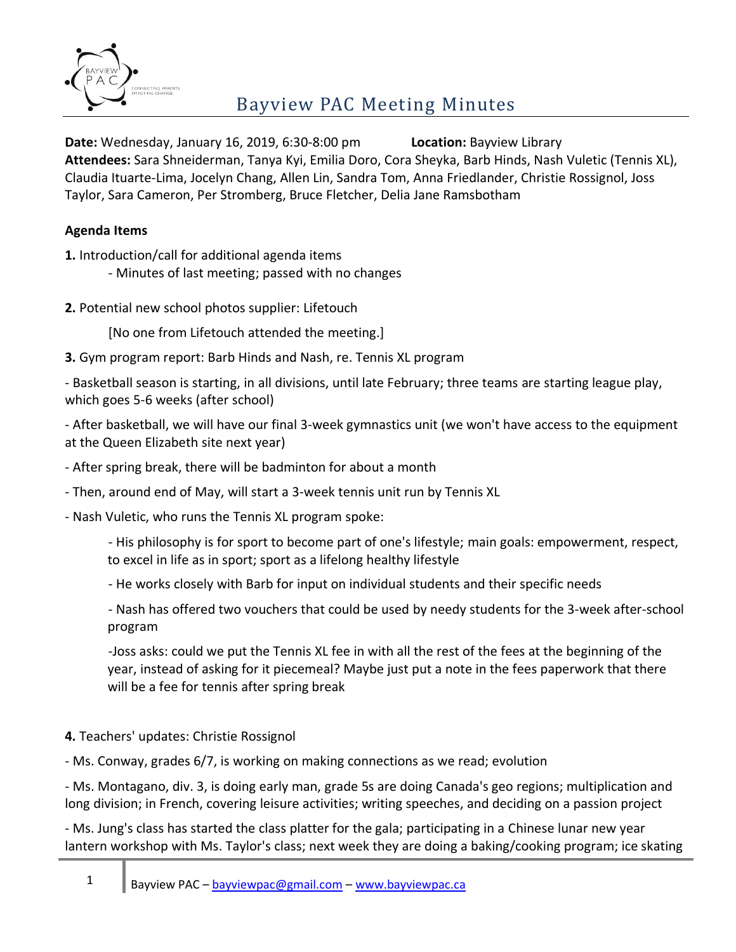

**Date:** Wednesday, January 16, 2019, 6:30-8:00 pm **Location:** Bayview Library **Attendees:** Sara Shneiderman, Tanya Kyi, Emilia Doro, Cora Sheyka, Barb Hinds, Nash Vuletic (Tennis XL), Claudia Ituarte-Lima, Jocelyn Chang, Allen Lin, Sandra Tom, Anna Friedlander, Christie Rossignol, Joss Taylor, Sara Cameron, Per Stromberg, Bruce Fletcher, Delia Jane Ramsbotham

## **Agenda Items**

**1.** Introduction/call for additional agenda items

- Minutes of last meeting; passed with no changes

**2.** Potential new school photos supplier: Lifetouch

[No one from Lifetouch attended the meeting.]

**3.** Gym program report: Barb Hinds and Nash, re. Tennis XL program

- Basketball season is starting, in all divisions, until late February; three teams are starting league play, which goes 5-6 weeks (after school)

- After basketball, we will have our final 3-week gymnastics unit (we won't have access to the equipment at the Queen Elizabeth site next year)

- After spring break, there will be badminton for about a month

- Then, around end of May, will start a 3-week tennis unit run by Tennis XL

- Nash Vuletic, who runs the Tennis XL program spoke:

- His philosophy is for sport to become part of one's lifestyle; main goals: empowerment, respect, to excel in life as in sport; sport as a lifelong healthy lifestyle

- He works closely with Barb for input on individual students and their specific needs

- Nash has offered two vouchers that could be used by needy students for the 3-week after-school program

-Joss asks: could we put the Tennis XL fee in with all the rest of the fees at the beginning of the year, instead of asking for it piecemeal? Maybe just put a note in the fees paperwork that there will be a fee for tennis after spring break

### **4.** Teachers' updates: Christie Rossignol

- Ms. Conway, grades 6/7, is working on making connections as we read; evolution

- Ms. Montagano, div. 3, is doing early man, grade 5s are doing Canada's geo regions; multiplication and long division; in French, covering leisure activities; writing speeches, and deciding on a passion project

- Ms. Jung's class has started the class platter for the gala; participating in a Chinese lunar new year lantern workshop with Ms. Taylor's class; next week they are doing a baking/cooking program; ice skating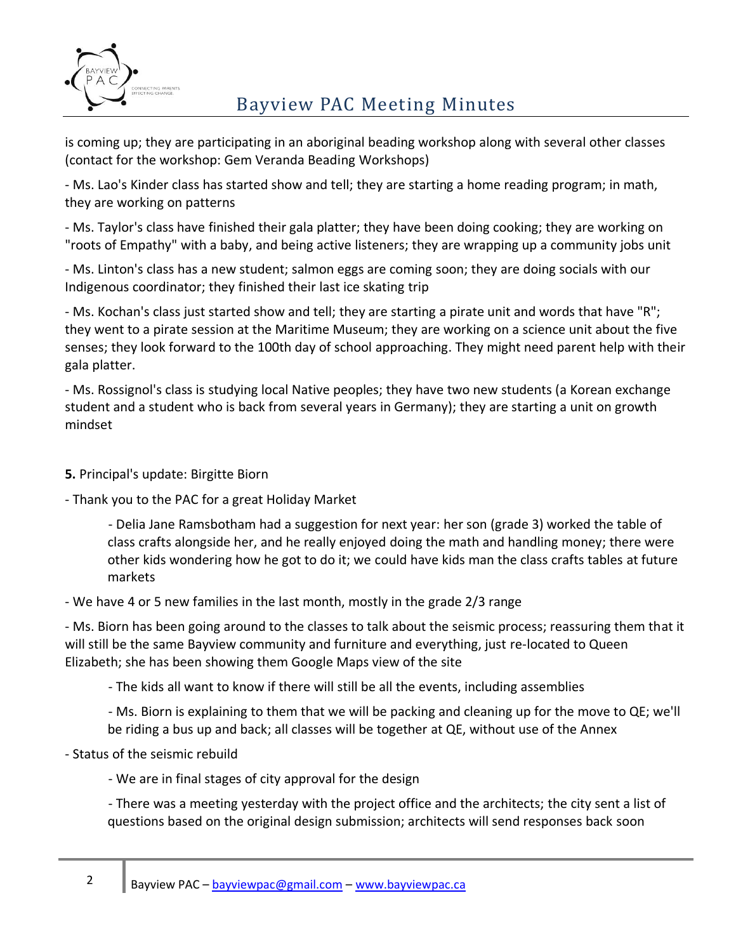

# Bayview PAC Meeting Minutes

is coming up; they are participating in an aboriginal beading workshop along with several other classes (contact for the workshop: Gem Veranda Beading Workshops)

- Ms. Lao's Kinder class has started show and tell; they are starting a home reading program; in math, they are working on patterns

- Ms. Taylor's class have finished their gala platter; they have been doing cooking; they are working on "roots of Empathy" with a baby, and being active listeners; they are wrapping up a community jobs unit

- Ms. Linton's class has a new student; salmon eggs are coming soon; they are doing socials with our Indigenous coordinator; they finished their last ice skating trip

- Ms. Kochan's class just started show and tell; they are starting a pirate unit and words that have "R"; they went to a pirate session at the Maritime Museum; they are working on a science unit about the five senses; they look forward to the 100th day of school approaching. They might need parent help with their gala platter.

- Ms. Rossignol's class is studying local Native peoples; they have two new students (a Korean exchange student and a student who is back from several years in Germany); they are starting a unit on growth mindset

**5.** Principal's update: Birgitte Biorn

- Thank you to the PAC for a great Holiday Market

- Delia Jane Ramsbotham had a suggestion for next year: her son (grade 3) worked the table of class crafts alongside her, and he really enjoyed doing the math and handling money; there were other kids wondering how he got to do it; we could have kids man the class crafts tables at future markets

- We have 4 or 5 new families in the last month, mostly in the grade 2/3 range

- Ms. Biorn has been going around to the classes to talk about the seismic process; reassuring them that it will still be the same Bayview community and furniture and everything, just re-located to Queen Elizabeth; she has been showing them Google Maps view of the site

- The kids all want to know if there will still be all the events, including assemblies

- Ms. Biorn is explaining to them that we will be packing and cleaning up for the move to QE; we'll be riding a bus up and back; all classes will be together at QE, without use of the Annex

- Status of the seismic rebuild

- We are in final stages of city approval for the design

- There was a meeting yesterday with the project office and the architects; the city sent a list of questions based on the original design submission; architects will send responses back soon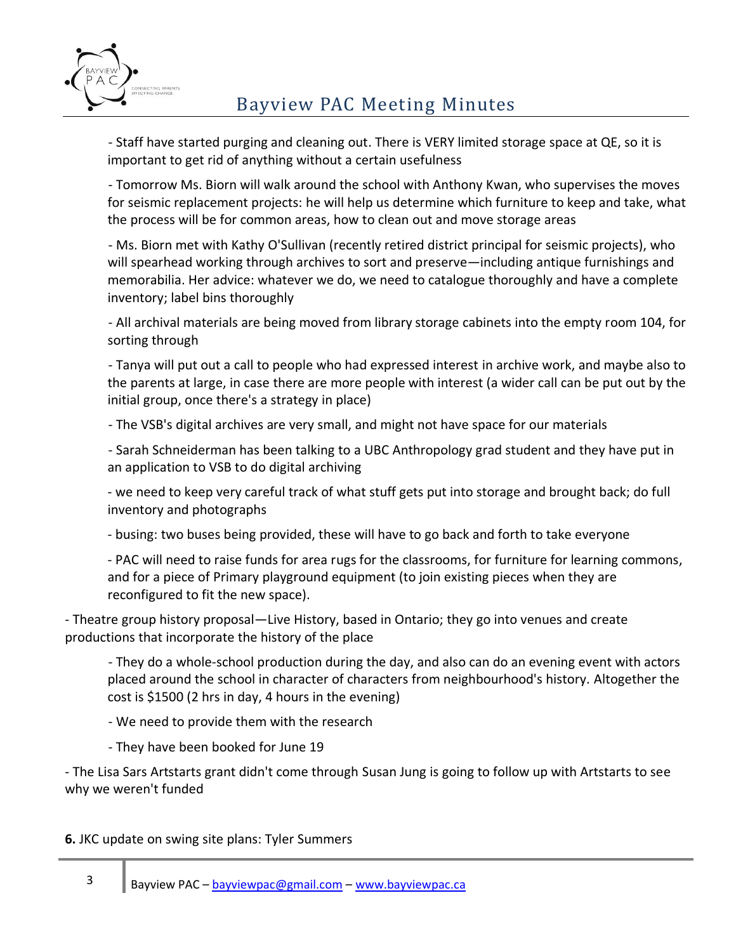

- Staff have started purging and cleaning out. There is VERY limited storage space at QE, so it is important to get rid of anything without a certain usefulness

- Tomorrow Ms. Biorn will walk around the school with Anthony Kwan, who supervises the moves for seismic replacement projects: he will help us determine which furniture to keep and take, what the process will be for common areas, how to clean out and move storage areas

- Ms. Biorn met with Kathy O'Sullivan (recently retired district principal for seismic projects), who will spearhead working through archives to sort and preserve—including antique furnishings and memorabilia. Her advice: whatever we do, we need to catalogue thoroughly and have a complete inventory; label bins thoroughly

- All archival materials are being moved from library storage cabinets into the empty room 104, for sorting through

- Tanya will put out a call to people who had expressed interest in archive work, and maybe also to the parents at large, in case there are more people with interest (a wider call can be put out by the initial group, once there's a strategy in place)

- The VSB's digital archives are very small, and might not have space for our materials

- Sarah Schneiderman has been talking to a UBC Anthropology grad student and they have put in an application to VSB to do digital archiving

- we need to keep very careful track of what stuff gets put into storage and brought back; do full inventory and photographs

- busing: two buses being provided, these will have to go back and forth to take everyone

- PAC will need to raise funds for area rugs for the classrooms, for furniture for learning commons, and for a piece of Primary playground equipment (to join existing pieces when they are reconfigured to fit the new space).

- Theatre group history proposal—Live History, based in Ontario; they go into venues and create productions that incorporate the history of the place

- They do a whole-school production during the day, and also can do an evening event with actors placed around the school in character of characters from neighbourhood's history. Altogether the cost is \$1500 (2 hrs in day, 4 hours in the evening)

- We need to provide them with the research

- They have been booked for June 19

- The Lisa Sars Artstarts grant didn't come through Susan Jung is going to follow up with Artstarts to see why we weren't funded

**6.** JKC update on swing site plans: Tyler Summers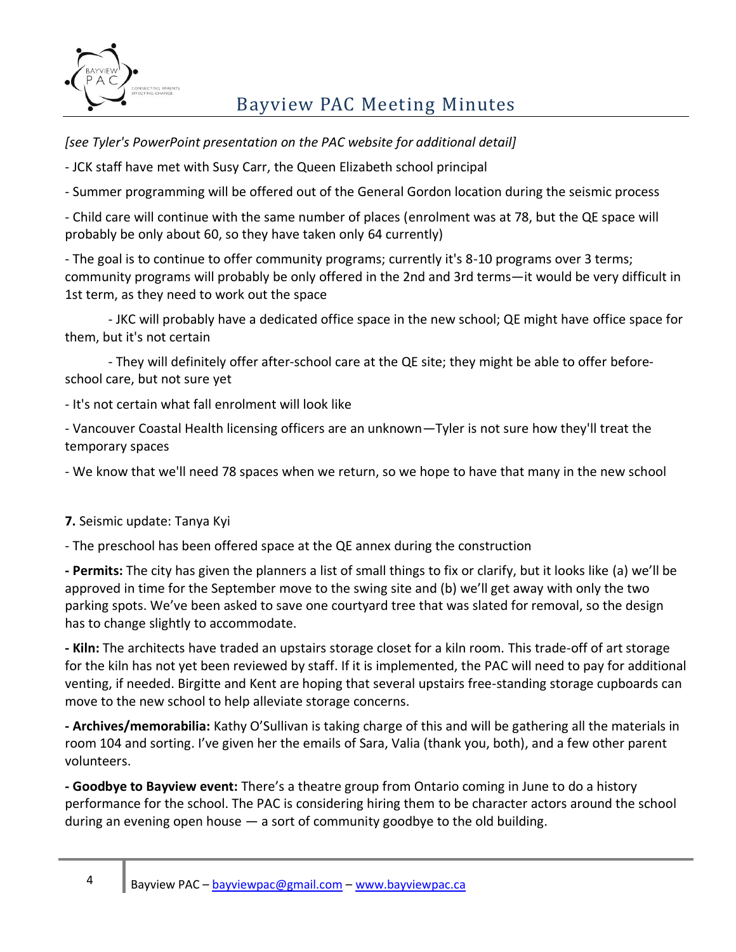

# Bayview PAC Meeting Minutes

*[see Tyler's PowerPoint presentation on the PAC website for additional detail]*

- JCK staff have met with Susy Carr, the Queen Elizabeth school principal

- Summer programming will be offered out of the General Gordon location during the seismic process

- Child care will continue with the same number of places (enrolment was at 78, but the QE space will probably be only about 60, so they have taken only 64 currently)

- The goal is to continue to offer community programs; currently it's 8-10 programs over 3 terms; community programs will probably be only offered in the 2nd and 3rd terms—it would be very difficult in 1st term, as they need to work out the space

- JKC will probably have a dedicated office space in the new school; QE might have office space for them, but it's not certain

- They will definitely offer after-school care at the QE site; they might be able to offer beforeschool care, but not sure yet

- It's not certain what fall enrolment will look like

- Vancouver Coastal Health licensing officers are an unknown—Tyler is not sure how they'll treat the temporary spaces

- We know that we'll need 78 spaces when we return, so we hope to have that many in the new school

**7.** Seismic update: Tanya Kyi

- The preschool has been offered space at the QE annex during the construction

**- Permits:** The city has given the planners a list of small things to fix or clarify, but it looks like (a) we'll be approved in time for the September move to the swing site and (b) we'll get away with only the two parking spots. We've been asked to save one courtyard tree that was slated for removal, so the design has to change slightly to accommodate.

**- Kiln:** The architects have traded an upstairs storage closet for a kiln room. This trade-off of art storage for the kiln has not yet been reviewed by staff. If it is implemented, the PAC will need to pay for additional venting, if needed. Birgitte and Kent are hoping that several upstairs free-standing storage cupboards can move to the new school to help alleviate storage concerns.

**- Archives/memorabilia:** Kathy O'Sullivan is taking charge of this and will be gathering all the materials in room 104 and sorting. I've given her the emails of Sara, Valia (thank you, both), and a few other parent volunteers.

**- Goodbye to Bayview event:** There's a theatre group from Ontario coming in June to do a history performance for the school. The PAC is considering hiring them to be character actors around the school during an evening open house — a sort of community goodbye to the old building.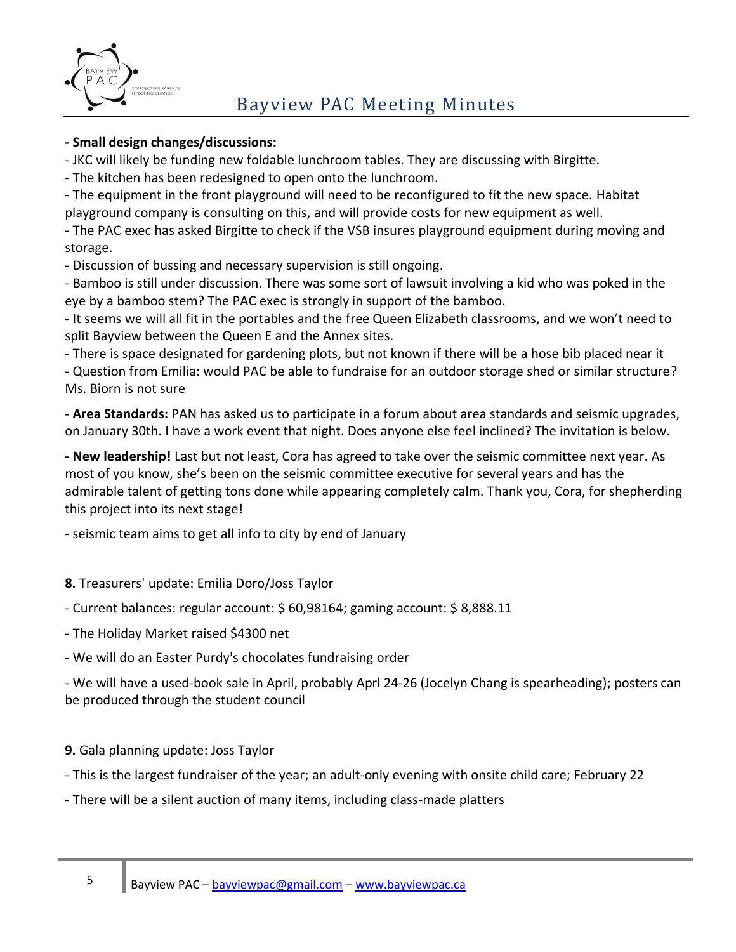

### **- Small design changes/discussions:**

- JKC will likely be funding new foldable lunchroom tables. They are discussing with Birgitte.

- The kitchen has been redesigned to open onto the lunchroom.

- The equipment in the front playground will need to be reconfigured to fit the new space. Habitat playground company is consulting on this, and will provide costs for new equipment as well.

- The PAC exec has asked Birgitte to check if the VSB insures playground equipment during moving and storage.

- Discussion of bussing and necessary supervision is still ongoing.

- Bamboo is still under discussion. There was some sort of lawsuit involving a kid who was poked in the eye by a bamboo stem? The PAC exec is strongly in support of the bamboo.

- It seems we will all fit in the portables and the free Queen Elizabeth classrooms, and we won't need to split Bayview between the Queen E and the Annex sites.

- There is space designated for gardening plots, but not known if there will be a hose bib placed near it

- Question from Emilia: would PAC be able to fundraise for an outdoor storage shed or similar structure? Ms. Biorn is not sure

**- Area Standards:** PAN has asked us to participate in a forum about area standards and seismic upgrades, on January 30th. I have a work event that night. Does anyone else feel inclined? The invitation is below.

**- New leadership!** Last but not least, Cora has agreed to take over the seismic committee next year. As most of you know, she's been on the seismic committee executive for several years and has the admirable talent of getting tons done while appearing completely calm. Thank you, Cora, for shepherding this project into its next stage!

- seismic team aims to get all info to city by end of January

### **8.** Treasurers' update: Emilia Doro/Joss Taylor

- Current balances: regular account: \$ 60,98164; gaming account: \$ 8,888.11

- The Holiday Market raised \$4300 net
- We will do an Easter Purdy's chocolates fundraising order

- We will have a used-book sale in April, probably Aprl 24-26 (Jocelyn Chang is spearheading); posters can be produced through the student council

## **9.** Gala planning update: Joss Taylor

- This is the largest fundraiser of the year; an adult-only evening with onsite child care; February 22
- There will be a silent auction of many items, including class-made platters